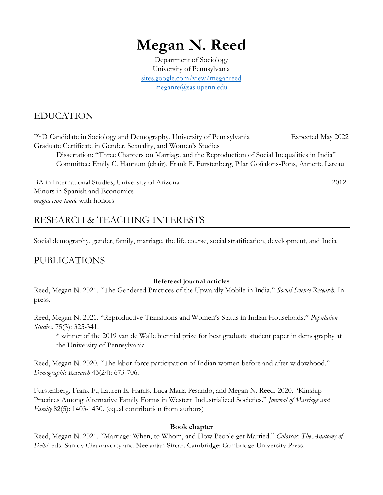# **Megan N. Reed**

Department of Sociology University of Pennsylvania [sites.google.com/view/meganreed](https://sites.google.com/view/meganreed/) [meganre@sas.upenn.edu](mailto:meganre@sas.upenn.edu)

## EDUCATION

PhD Candidate in Sociology and Demography, University of Pennsylvania Expected May 2022 Graduate Certificate in Gender, Sexuality, and Women's Studies

Dissertation: "Three Chapters on Marriage and the Reproduction of Social Inequalities in India" Committee: Emily C. Hannum (chair), Frank F. Furstenberg, Pilar Goñalons-Pons, Annette Lareau

BA in International Studies, University of Arizona 2012 Minors in Spanish and Economics *magna cum laude* with honors

# RESEARCH & TEACHING INTERESTS

Social demography, gender, family, marriage, the life course, social stratification, development, and India

## PUBLICATIONS

#### **Refereed journal articles**

Reed, Megan N. 2021. "The Gendered Practices of the Upwardly Mobile in India." *Social Science Research.* In press.

Reed, Megan N. 2021. "Reproductive Transitions and Women's Status in Indian Households." *Population Studies.* 75(3): 325-341.

\* winner of the 2019 van de Walle biennial prize for best graduate student paper in demography at the University of Pennsylvania

Reed, Megan N. 2020. "The labor force participation of Indian women before and after widowhood." *Demographic Research* 43(24): 673-706.

Furstenberg, Frank F., Lauren E. Harris, Luca Maria Pesando, and Megan N. Reed. 2020. "Kinship Practices Among Alternative Family Forms in Western Industrialized Societies." *Journal of Marriage and Family* 82(5): 1403-1430. (equal contribution from authors)

#### **Book chapter**

Reed, Megan N. 2021. "Marriage: When, to Whom, and How People get Married." *Colossus: The Anatomy of Delhi*. eds. Sanjoy Chakravorty and Neelanjan Sircar. Cambridge: Cambridge University Press.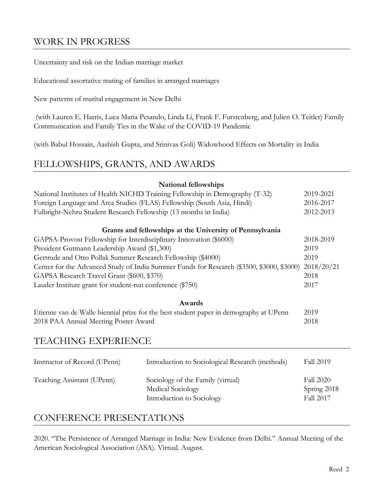## WORK IN PROGRESS

Uncertainty and risk on the Indian marriage market

Educational assortative mating of families in arranged marriages

New patterns of marital engagement in New Delhi

(with Lauren E. Harris, Luca Maria Pesando, Linda Li, Frank F. Furstenberg, and Julien O. Teitler) Family Communication and Family Ties in the Wake of the COVID-19 Pandemic

(with Babul Hossain, Aashish Gupta, and Srinivas Goli) Widowhood Effects on Mortality in India

#### FELLOWSHIPS, GRANTS, AND AWARDS

|                                                                                           | National fellowships                                     |                  |  |
|-------------------------------------------------------------------------------------------|----------------------------------------------------------|------------------|--|
| National Institutes of Health NICHD Training Fellowship in Demography (T-32)              |                                                          | 2019-2021        |  |
| Foreign Language and Area Studies (FLAS) Fellowship (South Asia, Hindi)                   |                                                          | 2016-2017        |  |
| Fulbright-Nehru Student Research Fellowship (13 months in India)                          |                                                          | 2012-2013        |  |
|                                                                                           | Grants and fellowships at the University of Pennsylvania |                  |  |
| GAPSA-Provost Fellowship for Interdisciplinary Innovation (\$6000)                        |                                                          | 2018-2019        |  |
| President Gutmann Leadership Award (\$1,300)                                              |                                                          | 2019             |  |
| Gertrude and Otto Pollak Summer Research Fellowship (\$4000)                              |                                                          |                  |  |
| Center for the Advanced Study of India Summer Funds for Research (\$3500, \$3000, \$3000) |                                                          |                  |  |
| GAPSA Research Travel Grant (\$600, \$370)                                                |                                                          | 2018             |  |
| Lauder Institute grant for student-run conference (\$750)                                 |                                                          |                  |  |
|                                                                                           | <b>Awards</b>                                            |                  |  |
| Etienne van de Walle biennial prize for the best student paper in demography at UPenn     |                                                          | 2019             |  |
| 2018 PAA Annual Meeting Poster Award                                                      |                                                          | 2018             |  |
|                                                                                           |                                                          |                  |  |
| <b>TEACHING EXPERIENCE</b>                                                                |                                                          |                  |  |
| Instructor of Record (UPenn)                                                              | Introduction to Sociological Research (methods)          | <b>Fall 2019</b> |  |
|                                                                                           |                                                          |                  |  |
| Teaching Assistant (UPenn)                                                                | Sociology of the Family (virtual)                        | <b>Fall 2020</b> |  |
|                                                                                           | Medical Sociology                                        | Spring 2018      |  |
|                                                                                           | Introduction to Sociology                                | Fall 2017        |  |
|                                                                                           |                                                          |                  |  |

#### CONFERENCE PRESENTATIONS

2020. "The Persistence of Arranged Marriage in India: New Evidence from Delhi." Annual Meeting of the American Sociological Association (ASA). Virtual. August.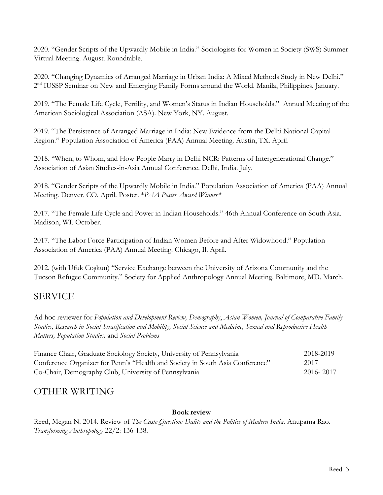2020. "Gender Scripts of the Upwardly Mobile in India." Sociologists for Women in Society (SWS) Summer Virtual Meeting. August. Roundtable.

2020. "Changing Dynamics of Arranged Marriage in Urban India: A Mixed Methods Study in New Delhi." 2<sup>nd</sup> IUSSP Seminar on New and Emerging Family Forms around the World. Manila, Philippines. January.

2019. "The Female Life Cycle, Fertility, and Women's Status in Indian Households." Annual Meeting of the American Sociological Association (ASA). New York, NY. August.

2019. "The Persistence of Arranged Marriage in India: New Evidence from the Delhi National Capital Region." Population Association of America (PAA) Annual Meeting. Austin, TX. April.

2018. "When, to Whom, and How People Marry in Delhi NCR: Patterns of Intergenerational Change." Association of Asian Studies-in-Asia Annual Conference. Delhi, India. July.

2018. "Gender Scripts of the Upwardly Mobile in India." Population Association of America (PAA) Annual Meeting. Denver, CO. April. Poster. \**PAA Poster Award Winner\**

2017. "The Female Life Cycle and Power in Indian Households." 46th Annual Conference on South Asia. Madison, WI. October.

2017. "The Labor Force Participation of Indian Women Before and After Widowhood." Population Association of America (PAA) Annual Meeting. Chicago, Il. April.

2012. (with Ufuk Coşkun) "Service Exchange between the University of Arizona Community and the Tucson Refugee Community." Society for Applied Anthropology Annual Meeting. Baltimore, MD. March.

## SERVICE

Ad hoc reviewer for *Population and Development Review, Demography*, *Asian Women, Journal of Comparative Family Studies, Research in Social Stratification and Mobility, Social Science and Medicine, Sexual and Reproductive Health Matters, Population Studies,* and *Social Problems*

| Finance Chair, Graduate Sociology Society, University of Pennsylvania         | 2018-2019 |
|-------------------------------------------------------------------------------|-----------|
| Conference Organizer for Penn's "Health and Society in South Asia Conference" | 2017      |
| Co-Chair, Demography Club, University of Pennsylvania                         | 2016-2017 |

## OTHER WRITING

#### **Book review**

Reed, Megan N. 2014. Review of *The Caste Question: Dalits and the Politics of Modern India.* Anupama Rao. *Transforming Anthropology* 22/2: 136-138.